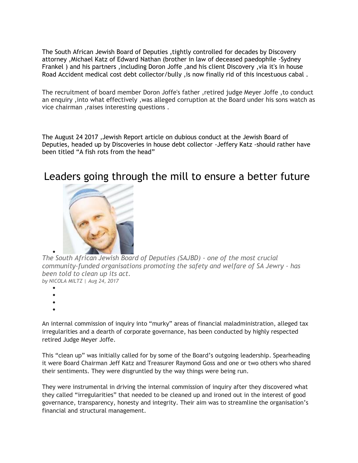The South African Jewish Board of Deputies ,tightly controlled for decades by Discovery attorney ,Michael Katz of Edward Nathan (brother in law of deceased paedophile -Sydney Frankel ) and his partners ,including Doron Joffe ,and his client Discovery ,via it's in house Road Accident medical cost debt collector/bully ,is now finally rid of this incestuous cabal .

The recruitment of board member Doron Joffe's father ,retired judge Meyer Joffe ,to conduct an enquiry ,into what effectively ,was alleged corruption at the Board under his sons watch as vice chairman ,raises interesting questions .

The August 24 2017 ,Jewish Report article on dubious conduct at the Jewish Board of Deputies, headed up by Discoveries in house debt collector -Jeffery Katz -should rather have been titled "A fish rots from the head"

## Leaders going through the mill to ensure a better future



 $\bullet$ *The South African Jewish Board of Deputies (SAJBD) - one of the most crucial community-funded organisations promoting the safety and welfare of SA Jewry - has been told to clean up its act. by NICOLA MILTZ | Aug 24, 2017*

- $\bullet$
- $\bullet$

 $\bullet$ 

 $\bullet$ 

An internal commission of inquiry into "murky" areas of financial maladministration, alleged tax irregularities and a dearth of corporate governance, has been conducted by highly respected retired Judge Meyer Joffe.

This "clean up" was initially called for by some of the Board's outgoing leadership. Spearheading it were Board Chairman Jeff Katz and Treasurer Raymond Goss and one or two others who shared their sentiments. They were disgruntled by the way things were being run.

They were instrumental in driving the internal commission of inquiry after they discovered what they called "irregularities" that needed to be cleaned up and ironed out in the interest of good governance, transparency, honesty and integrity. Their aim was to streamline the organisation's financial and structural management.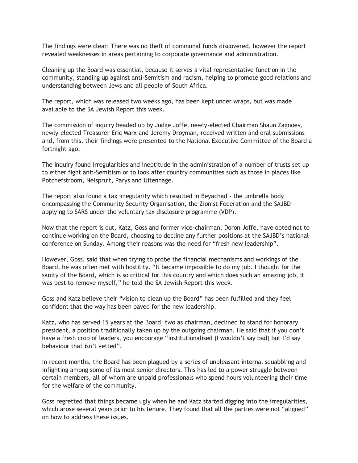The findings were clear: There was no theft of communal funds discovered, however the report revealed weaknesses in areas pertaining to corporate governance and administration.

Cleaning up the Board was essential, because it serves a vital representative function in the community, standing up against anti-Semitism and racism, helping to promote good relations and understanding between Jews and all people of South Africa.

The report, which was released two weeks ago, has been kept under wraps, but was made available to the SA Jewish Report this week.

The commission of inquiry headed up by Judge Joffe, newly-elected Chairman Shaun Zagnoev, newly-elected Treasurer Eric Marx and Jeremy Droyman, received written and oral submissions and, from this, their findings were presented to the National Executive Committee of the Board a fortnight ago.

The inquiry found irregularities and ineptitude in the administration of a number of trusts set up to either fight anti-Semitism or to look after country communities such as those in places like Potchefstroom, Nelspruit, Parys and Uitenhage.

The report also found a tax irregularity which resulted in Beyachad - the umbrella body encompassing the Community Security Organisation, the Zionist Federation and the SAJBD applying to SARS under the voluntary tax disclosure programme (VDP).

Now that the report is out, Katz, Goss and former vice-chairman, Doron Joffe, have opted not to continue working on the Board, choosing to decline any further positions at the SAJBD's national conference on Sunday. Among their reasons was the need for "fresh new leadership".

However, Goss, said that when trying to probe the financial mechanisms and workings of the Board, he was often met with hostility. "It became impossible to do my job. I thought for the sanity of the Board, which is so critical for this country and which does such an amazing job, it was best to remove myself," he told the SA Jewish Report this week.

Goss and Katz believe their "vision to clean up the Board" has been fulfilled and they feel confident that the way has been paved for the new leadership.

Katz, who has served 15 years at the Board, two as chairman, declined to stand for honorary president, a position traditionally taken up by the outgoing chairman. He said that if you don't have a fresh crop of leaders, you encourage "institutionalised (I wouldn't say bad) but I'd say behaviour that isn't vetted".

In recent months, the Board has been plagued by a series of unpleasant internal squabbling and infighting among some of its most senior directors. This has led to a power struggle between certain members, all of whom are unpaid professionals who spend hours volunteering their time for the welfare of the community.

Goss regretted that things became ugly when he and Katz started digging into the irregularities, which arose several years prior to his tenure. They found that all the parties were not "aligned" on how to address these issues.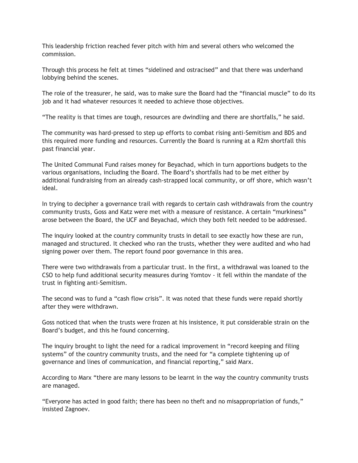This leadership friction reached fever pitch with him and several others who welcomed the commission.

Through this process he felt at times "sidelined and ostracised" and that there was underhand lobbying behind the scenes.

The role of the treasurer, he said, was to make sure the Board had the "financial muscle" to do its job and it had whatever resources it needed to achieve those objectives.

"The reality is that times are tough, resources are dwindling and there are shortfalls," he said.

The community was hard-pressed to step up efforts to combat rising anti-Semitism and BDS and this required more funding and resources. Currently the Board is running at a R2m shortfall this past financial year.

The United Communal Fund raises money for Beyachad, which in turn apportions budgets to the various organisations, including the Board. The Board's shortfalls had to be met either by additional fundraising from an already cash-strapped local community, or off shore, which wasn't ideal.

In trying to decipher a governance trail with regards to certain cash withdrawals from the country community trusts, Goss and Katz were met with a measure of resistance. A certain "murkiness" arose between the Board, the UCF and Beyachad, which they both felt needed to be addressed.

The inquiry looked at the country community trusts in detail to see exactly how these are run, managed and structured. It checked who ran the trusts, whether they were audited and who had signing power over them. The report found poor governance in this area.

There were two withdrawals from a particular trust. In the first, a withdrawal was loaned to the CSO to help fund additional security measures during Yomtov - it fell within the mandate of the trust in fighting anti-Semitism.

The second was to fund a "cash flow crisis". It was noted that these funds were repaid shortly after they were withdrawn.

Goss noticed that when the trusts were frozen at his insistence, it put considerable strain on the Board's budget, and this he found concerning.

The inquiry brought to light the need for a radical improvement in "record keeping and filing systems" of the country community trusts, and the need for "a complete tightening up of governance and lines of communication, and financial reporting," said Marx.

According to Marx "there are many lessons to be learnt in the way the country community trusts are managed.

"Everyone has acted in good faith; there has been no theft and no misappropriation of funds," insisted Zagnoev.